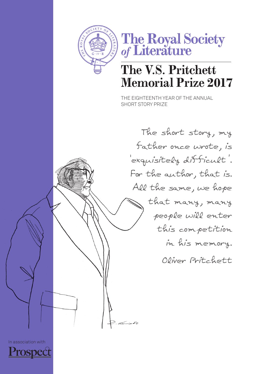



## **The V.S. Pritchett Memorial Prize 2017**

The Eighteenth year of the annual short story prize

The short story, my father once wrote, is 'exquisitely difficult'. For the author, that is. All the same, we hope that many, many people will enter this competition in his memory. Oliver Pritchett

In association with

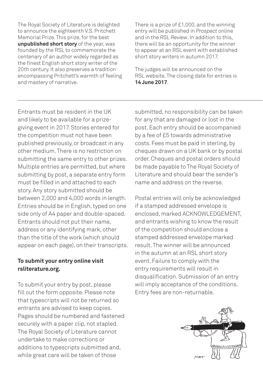The Royal Society of Literature is delighted to announce the eighteenth V.S. Pritchett Memorial Prize. This prize, for the best **unpublished short story** of the year, was founded by the RSL to commemorate the centenary of an author widely regarded as the finest English short story writer of the 20th century. It also preserves a tradition encompassing Pritchett's warmth of feeling and mastery of narrative.

There is a prize of £1,000, and the winning entry will be published in *Prospect* online and in the *RSL Review*. In addition to this, there will be an opportunity for the winner to appear at an RSL event with established short story writers in autumn 2017.

The judges will be announced on the RSL website. The closing date for entries is **14 June 2017**.

Entrants must be resident in the UK and likely to be available for a prizegiving event in 2017. Stories entered for the competition must not have been published previously, or broadcast in any other medium. There is no restriction on submitting the same entry to other prizes. Multiple entries are permitted, but where submitting by post, a separate entry form must be filled in and attached to each story. Any story submitted should be between 2,000 and 4,000 words in length. Entries should be in English, typed on one side only of A4 paper and double-spaced. Entrants should not put their name, address or any identifying mark, other than the title of the work (which should appear on each page), on their transcripts.

## **To submit your entry online visit rsliterature.org.**

To submit your entry by post, please fill out the form opposite. Please note that typescripts will not be returned so entrants are advised to keep copies. Pages should be numbered and fastened securely with a paper clip, not stapled. The Royal Society of Literature cannot undertake to make corrections or additions to typescripts submitted and, while great care will be taken of those

submitted, no responsibility can be taken for any that are damaged or lost in the post. Each entry should be accompanied by a fee of £5 towards administrative costs. Fees must be paid in sterling, by cheques drawn on a UK bank or by postal order. Cheques and postal orders should be made payable to The Royal Society of Literature and should bear the sender's name and address on the reverse.

Postal entries will only be acknowledged if a stamped addressed envelope is enclosed, marked ACKNOWLEDGEMENT, and entrants wishing to know the result of the competition should enclose a stamped addressed envelope marked result. The winner will be announced in the autumn at an RSL short story event. Failure to comply with the entry requirements will result in disqualification. Submission of an entry will imply acceptance of the conditions. Entry fees are non-returnable.

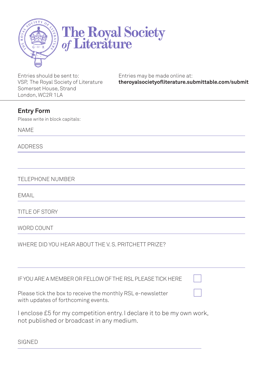

## The Royal Society<br>of Literature

Entries should be sent to: VSP, The Royal Society of Literature Somerset House, Strand London, WC2R 1LA

Entries may be made online at: **theroyalsocietyofliterature.submittable.com/submit**

## **Entry Form**

Please write in block capitals:

name

address

TEI EPHONE NUMBER

EMAIL

title of story

WORD COUNT

WHERE DID YOU HEAR ABOUT THE V. S. PRITCHETT PRIZE?

| IF YOU ARE A MEMBER OR FELLOW OF THE RSL PLEASE TICK HERE                                                           |  |
|---------------------------------------------------------------------------------------------------------------------|--|
| Please tick the box to receive the monthly RSL e-newsletter<br>with updates of forthcoming events.                  |  |
| I enclose £5 for my competition entry. I declare it to be my own work,<br>not published or broadcast in any medium. |  |

**SIGNED**